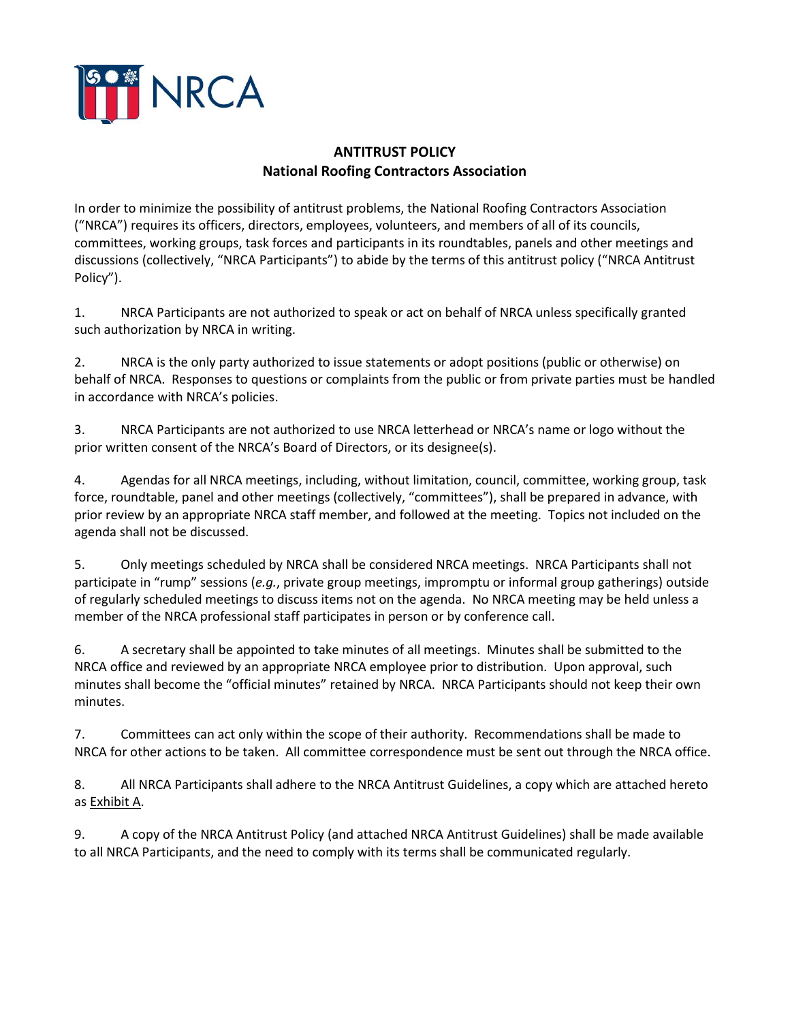

## **ANTITRUST POLICY National Roofing Contractors Association**

In order to minimize the possibility of antitrust problems, the National Roofing Contractors Association ("NRCA") requires its officers, directors, employees, volunteers, and members of all of its councils, committees, working groups, task forces and participants in its roundtables, panels and other meetings and discussions (collectively, "NRCA Participants") to abide by the terms of this antitrust policy ("NRCA Antitrust Policy").

1. NRCA Participants are not authorized to speak or act on behalf of NRCA unless specifically granted such authorization by NRCA in writing.

2. NRCA is the only party authorized to issue statements or adopt positions (public or otherwise) on behalf of NRCA. Responses to questions or complaints from the public or from private parties must be handled in accordance with NRCA's policies.

3. NRCA Participants are not authorized to use NRCA letterhead or NRCA's name or logo without the prior written consent of the NRCA's Board of Directors, or its designee(s).

4. Agendas for all NRCA meetings, including, without limitation, council, committee, working group, task force, roundtable, panel and other meetings (collectively, "committees"), shall be prepared in advance, with prior review by an appropriate NRCA staff member, and followed at the meeting. Topics not included on the agenda shall not be discussed.

5. Only meetings scheduled by NRCA shall be considered NRCA meetings. NRCA Participants shall not participate in "rump" sessions (*e.g.*, private group meetings, impromptu or informal group gatherings) outside of regularly scheduled meetings to discuss items not on the agenda. No NRCA meeting may be held unless a member of the NRCA professional staff participates in person or by conference call.

6. A secretary shall be appointed to take minutes of all meetings. Minutes shall be submitted to the NRCA office and reviewed by an appropriate NRCA employee prior to distribution. Upon approval, such minutes shall become the "official minutes" retained by NRCA. NRCA Participants should not keep their own minutes.

7. Committees can act only within the scope of their authority. Recommendations shall be made to NRCA for other actions to be taken. All committee correspondence must be sent out through the NRCA office.

8. All NRCA Participants shall adhere to the NRCA Antitrust Guidelines, a copy which are attached hereto as Exhibit A.

9. A copy of the NRCA Antitrust Policy (and attached NRCA Antitrust Guidelines) shall be made available to all NRCA Participants, and the need to comply with its terms shall be communicated regularly.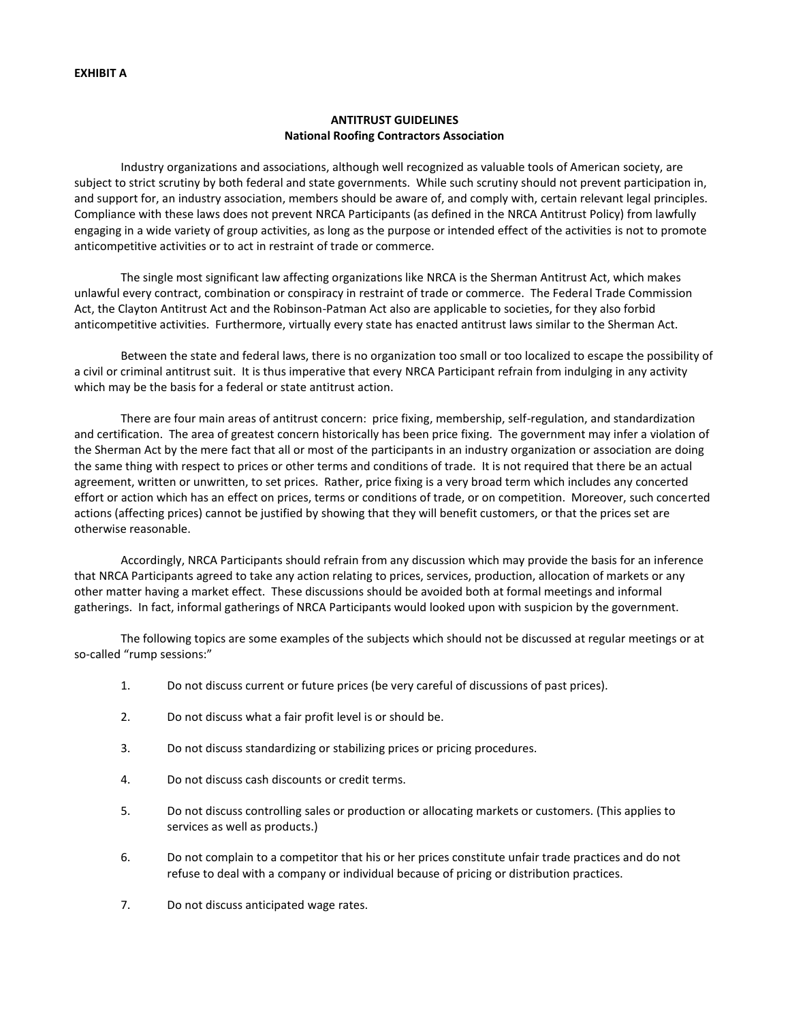## **ANTITRUST GUIDELINES National Roofing Contractors Association**

Industry organizations and associations, although well recognized as valuable tools of American society, are subject to strict scrutiny by both federal and state governments. While such scrutiny should not prevent participation in, and support for, an industry association, members should be aware of, and comply with, certain relevant legal principles. Compliance with these laws does not prevent NRCA Participants (as defined in the NRCA Antitrust Policy) from lawfully engaging in a wide variety of group activities, as long as the purpose or intended effect of the activities is not to promote anticompetitive activities or to act in restraint of trade or commerce.

The single most significant law affecting organizations like NRCA is the Sherman Antitrust Act, which makes unlawful every contract, combination or conspiracy in restraint of trade or commerce. The Federal Trade Commission Act, the Clayton Antitrust Act and the Robinson-Patman Act also are applicable to societies, for they also forbid anticompetitive activities. Furthermore, virtually every state has enacted antitrust laws similar to the Sherman Act.

Between the state and federal laws, there is no organization too small or too localized to escape the possibility of a civil or criminal antitrust suit. It is thus imperative that every NRCA Participant refrain from indulging in any activity which may be the basis for a federal or state antitrust action.

There are four main areas of antitrust concern: price fixing, membership, self-regulation, and standardization and certification. The area of greatest concern historically has been price fixing. The government may infer a violation of the Sherman Act by the mere fact that all or most of the participants in an industry organization or association are doing the same thing with respect to prices or other terms and conditions of trade. It is not required that there be an actual agreement, written or unwritten, to set prices. Rather, price fixing is a very broad term which includes any concerted effort or action which has an effect on prices, terms or conditions of trade, or on competition. Moreover, such concerted actions (affecting prices) cannot be justified by showing that they will benefit customers, or that the prices set are otherwise reasonable.

Accordingly, NRCA Participants should refrain from any discussion which may provide the basis for an inference that NRCA Participants agreed to take any action relating to prices, services, production, allocation of markets or any other matter having a market effect. These discussions should be avoided both at formal meetings and informal gatherings. In fact, informal gatherings of NRCA Participants would looked upon with suspicion by the government.

The following topics are some examples of the subjects which should not be discussed at regular meetings or at so-called "rump sessions:"

- 1. Do not discuss current or future prices (be very careful of discussions of past prices).
- 2. Do not discuss what a fair profit level is or should be.
- 3. Do not discuss standardizing or stabilizing prices or pricing procedures.
- 4. Do not discuss cash discounts or credit terms.
- 5. Do not discuss controlling sales or production or allocating markets or customers. (This applies to services as well as products.)
- 6. Do not complain to a competitor that his or her prices constitute unfair trade practices and do not refuse to deal with a company or individual because of pricing or distribution practices.
- 7. Do not discuss anticipated wage rates.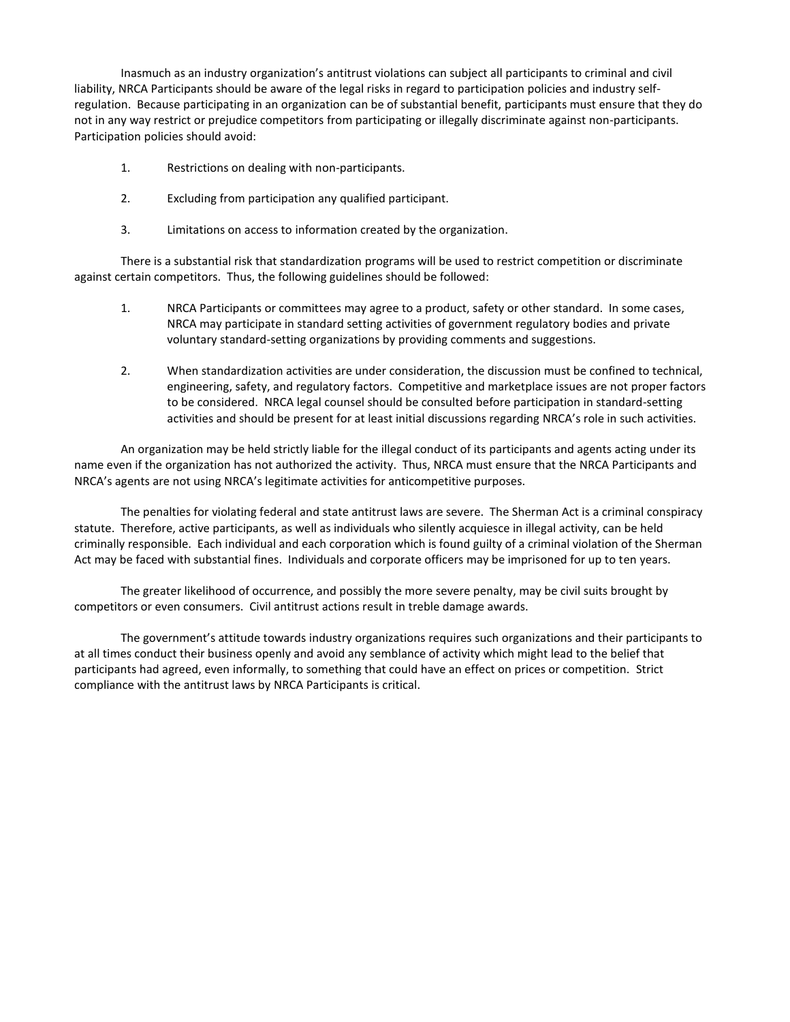Inasmuch as an industry organization's antitrust violations can subject all participants to criminal and civil liability, NRCA Participants should be aware of the legal risks in regard to participation policies and industry selfregulation. Because participating in an organization can be of substantial benefit, participants must ensure that they do not in any way restrict or prejudice competitors from participating or illegally discriminate against non-participants. Participation policies should avoid:

- 1. Restrictions on dealing with non-participants.
- 2. Excluding from participation any qualified participant.
- 3. Limitations on access to information created by the organization.

There is a substantial risk that standardization programs will be used to restrict competition or discriminate against certain competitors. Thus, the following guidelines should be followed:

- 1. NRCA Participants or committees may agree to a product, safety or other standard. In some cases, NRCA may participate in standard setting activities of government regulatory bodies and private voluntary standard-setting organizations by providing comments and suggestions.
- 2. When standardization activities are under consideration, the discussion must be confined to technical, engineering, safety, and regulatory factors. Competitive and marketplace issues are not proper factors to be considered. NRCA legal counsel should be consulted before participation in standard-setting activities and should be present for at least initial discussions regarding NRCA's role in such activities.

An organization may be held strictly liable for the illegal conduct of its participants and agents acting under its name even if the organization has not authorized the activity. Thus, NRCA must ensure that the NRCA Participants and NRCA's agents are not using NRCA's legitimate activities for anticompetitive purposes.

The penalties for violating federal and state antitrust laws are severe. The Sherman Act is a criminal conspiracy statute. Therefore, active participants, as well as individuals who silently acquiesce in illegal activity, can be held criminally responsible. Each individual and each corporation which is found guilty of a criminal violation of the Sherman Act may be faced with substantial fines. Individuals and corporate officers may be imprisoned for up to ten years.

The greater likelihood of occurrence, and possibly the more severe penalty, may be civil suits brought by competitors or even consumers. Civil antitrust actions result in treble damage awards.

The government's attitude towards industry organizations requires such organizations and their participants to at all times conduct their business openly and avoid any semblance of activity which might lead to the belief that participants had agreed, even informally, to something that could have an effect on prices or competition. Strict compliance with the antitrust laws by NRCA Participants is critical.